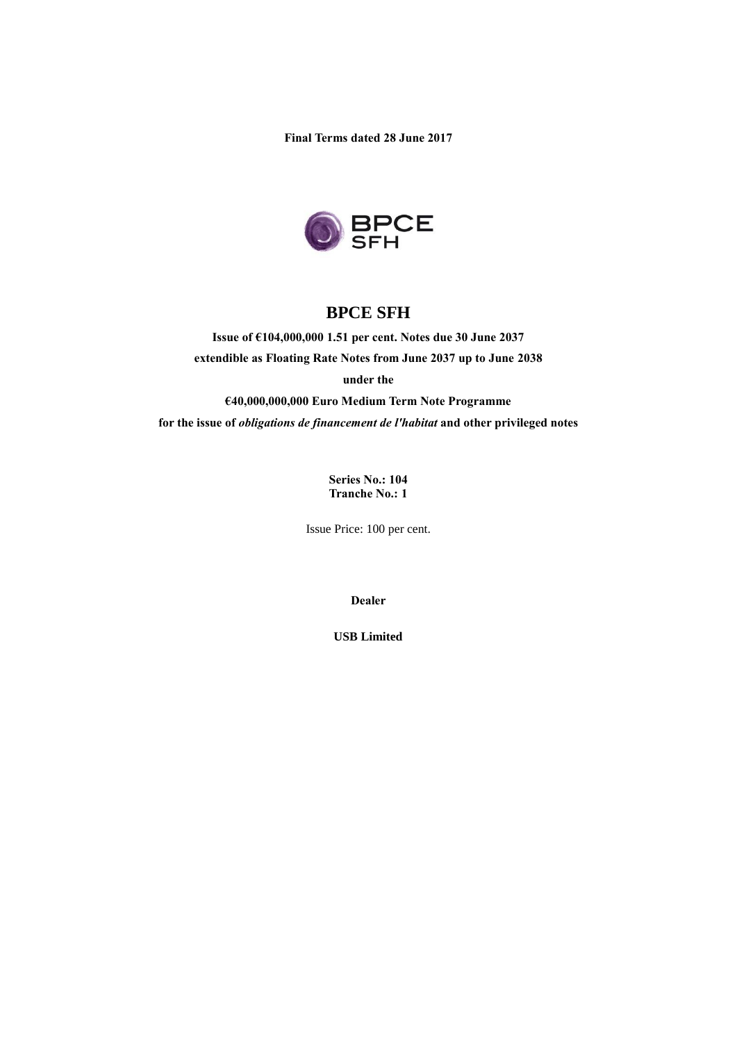**Final Terms dated 28 June 2017**



# **BPCE SFH**

**Issue of €104,000,000 1.51 per cent. Notes due 30 June 2037 extendible as Floating Rate Notes from June 2037 up to June 2038 under the** 

**€40,000,000,000 Euro Medium Term Note Programme for the issue of** *obligations de financement de l'habitat* **and other privileged notes**

> **Series No.: 104 Tranche No.: 1**

Issue Price: 100 per cent.

**Dealer**

**USB Limited**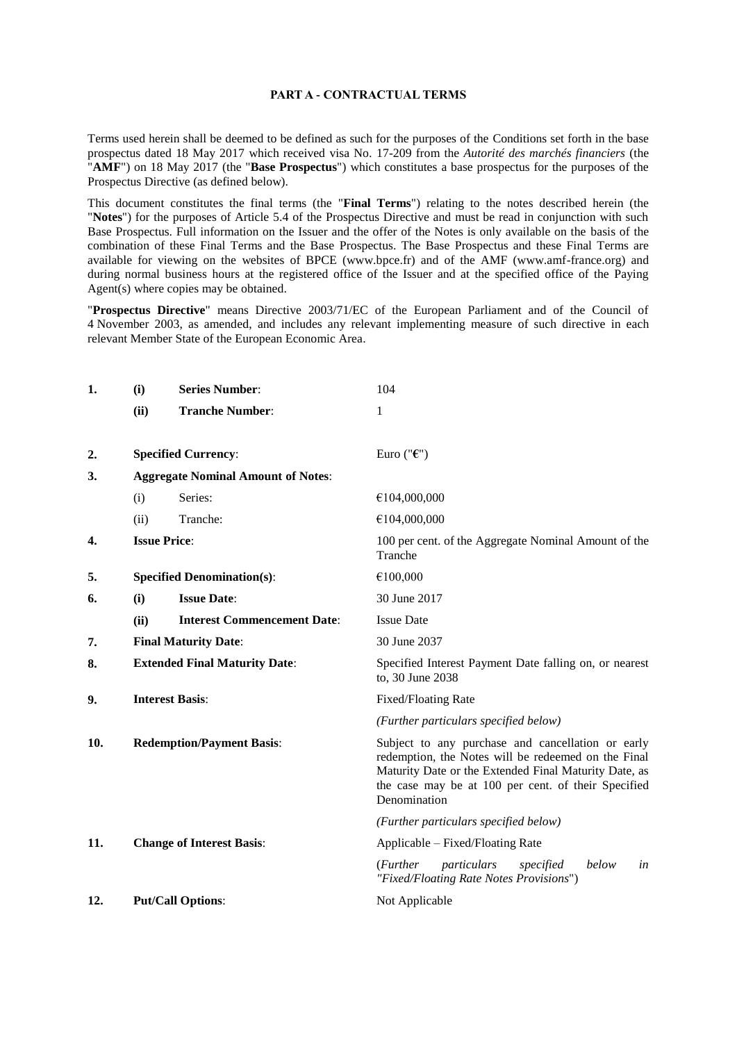#### **PART A - CONTRACTUAL TERMS**

Terms used herein shall be deemed to be defined as such for the purposes of the Conditions set forth in the base prospectus dated 18 May 2017 which received visa No. 17-209 from the *Autorité des marchés financiers* (the "**AMF**") on 18 May 2017 (the "**Base Prospectus**") which constitutes a base prospectus for the purposes of the Prospectus Directive (as defined below).

This document constitutes the final terms (the "**Final Terms**") relating to the notes described herein (the "**Notes**") for the purposes of Article 5.4 of the Prospectus Directive and must be read in conjunction with such Base Prospectus. Full information on the Issuer and the offer of the Notes is only available on the basis of the combination of these Final Terms and the Base Prospectus. The Base Prospectus and these Final Terms are available for viewing on the websites of BPCE (www.bpce.fr) and of the AMF (www.amf-france.org) and during normal business hours at the registered office of the Issuer and at the specified office of the Paying Agent(s) where copies may be obtained.

"**Prospectus Directive**" means Directive 2003/71/EC of the European Parliament and of the Council of 4 November 2003, as amended, and includes any relevant implementing measure of such directive in each relevant Member State of the European Economic Area.

| 1.  | (i)                                  | <b>Series Number:</b>                     | 104                                                                                                                                                                                                                                      |
|-----|--------------------------------------|-------------------------------------------|------------------------------------------------------------------------------------------------------------------------------------------------------------------------------------------------------------------------------------------|
|     | (ii)                                 | <b>Tranche Number:</b>                    | 1                                                                                                                                                                                                                                        |
|     |                                      |                                           |                                                                                                                                                                                                                                          |
| 2.  |                                      | <b>Specified Currency:</b>                | Euro (" $\epsilon$ ")                                                                                                                                                                                                                    |
| 3.  |                                      | <b>Aggregate Nominal Amount of Notes:</b> |                                                                                                                                                                                                                                          |
|     | (i)                                  | Series:                                   | €104,000,000                                                                                                                                                                                                                             |
|     | (ii)                                 | Tranche:                                  | €104,000,000                                                                                                                                                                                                                             |
| 4.  |                                      | <b>Issue Price:</b>                       | 100 per cent. of the Aggregate Nominal Amount of the<br>Tranche                                                                                                                                                                          |
| 5.  |                                      | <b>Specified Denomination(s):</b>         | €100,000                                                                                                                                                                                                                                 |
| 6.  | (i)                                  | <b>Issue Date:</b>                        | 30 June 2017                                                                                                                                                                                                                             |
|     | (ii)                                 | <b>Interest Commencement Date:</b>        | <b>Issue Date</b>                                                                                                                                                                                                                        |
| 7.  | <b>Final Maturity Date:</b>          |                                           | 30 June 2037                                                                                                                                                                                                                             |
| 8.  | <b>Extended Final Maturity Date:</b> |                                           | Specified Interest Payment Date falling on, or nearest<br>to, 30 June 2038                                                                                                                                                               |
| 9.  |                                      | <b>Interest Basis:</b>                    | <b>Fixed/Floating Rate</b>                                                                                                                                                                                                               |
|     |                                      |                                           | (Further particulars specified below)                                                                                                                                                                                                    |
| 10. | <b>Redemption/Payment Basis:</b>     |                                           | Subject to any purchase and cancellation or early<br>redemption, the Notes will be redeemed on the Final<br>Maturity Date or the Extended Final Maturity Date, as<br>the case may be at 100 per cent. of their Specified<br>Denomination |
|     |                                      |                                           | (Further particulars specified below)                                                                                                                                                                                                    |
| 11. |                                      | <b>Change of Interest Basis:</b>          | Applicable – Fixed/Floating Rate                                                                                                                                                                                                         |
|     |                                      |                                           | ( <i>Further</i><br>particulars<br>below<br>specified<br>in<br>"Fixed/Floating Rate Notes Provisions")                                                                                                                                   |
| 12. |                                      | <b>Put/Call Options:</b>                  | Not Applicable                                                                                                                                                                                                                           |
|     |                                      |                                           |                                                                                                                                                                                                                                          |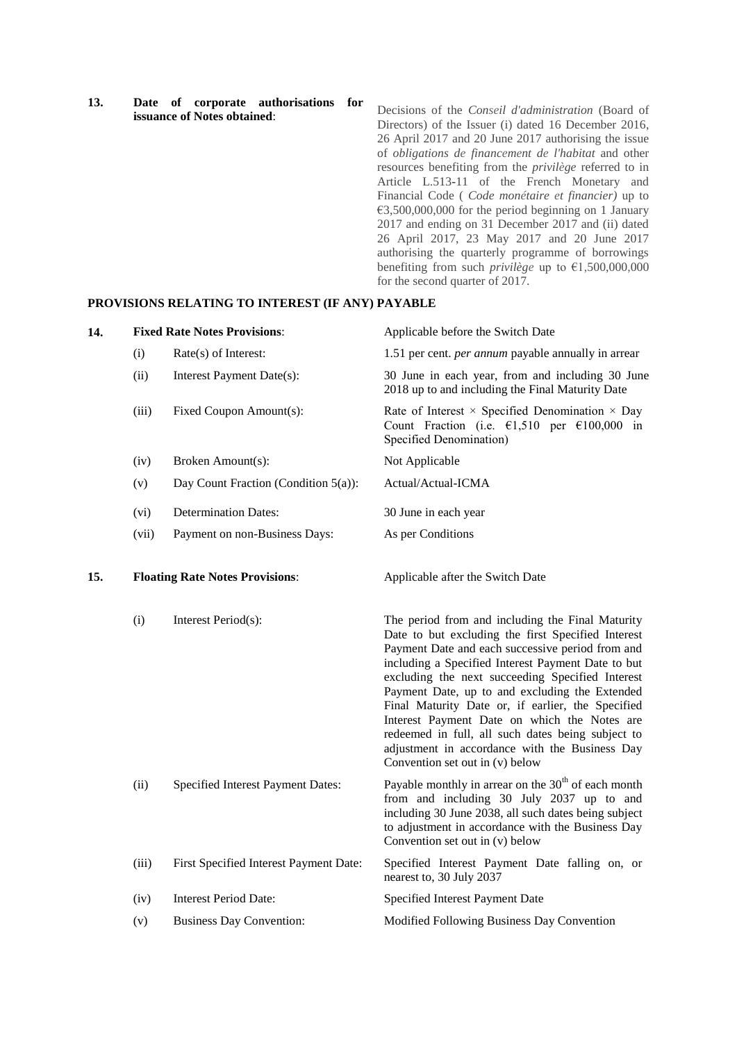| 13. |  |                                    | Date of corporate authorisations for |  |
|-----|--|------------------------------------|--------------------------------------|--|
|     |  | <b>issuance of Notes obtained:</b> |                                      |  |

Decisions of the *Conseil d'administration* (Board of Directors) of the Issuer (i) dated 16 December 2016, 26 April 2017 and 20 June 2017 authorising the issue of *obligations de financement de l'habitat* and other resources benefiting from the *privilège* referred to in Article L.513-11 of the French Monetary and Financial Code ( *Code monétaire et financier)* up to  $\epsilon$ 3,500,000,000 for the period beginning on 1 January 2017 and ending on 31 December 2017 and (ii) dated 26 April 2017, 23 May 2017 and 20 June 2017 authorising the quarterly programme of borrowings benefiting from such *privilège* up to  $\epsilon$ 1,500,000,000 for the second quarter of 2017.

#### **PROVISIONS RELATING TO INTEREST (IF ANY) PAYABLE**

| 14. |       | <b>Fixed Rate Notes Provisions:</b>    | Applicable before the Switch Date                                                                                                                                                                                                                                                                                                                                                                                                                                                                                                                                     |
|-----|-------|----------------------------------------|-----------------------------------------------------------------------------------------------------------------------------------------------------------------------------------------------------------------------------------------------------------------------------------------------------------------------------------------------------------------------------------------------------------------------------------------------------------------------------------------------------------------------------------------------------------------------|
|     | (i)   | Rate(s) of Interest:                   | 1.51 per cent. <i>per annum</i> payable annually in arrear                                                                                                                                                                                                                                                                                                                                                                                                                                                                                                            |
|     | (ii)  | Interest Payment Date(s):              | 30 June in each year, from and including 30 June<br>2018 up to and including the Final Maturity Date                                                                                                                                                                                                                                                                                                                                                                                                                                                                  |
|     | (iii) | Fixed Coupon Amount(s):                | Rate of Interest $\times$ Specified Denomination $\times$ Day<br>Count Fraction (i.e. $\epsilon$ 1,510 per $\epsilon$ 100,000 in<br>Specified Denomination)                                                                                                                                                                                                                                                                                                                                                                                                           |
|     | (iv)  | Broken Amount(s):                      | Not Applicable                                                                                                                                                                                                                                                                                                                                                                                                                                                                                                                                                        |
|     | (v)   | Day Count Fraction (Condition 5(a)):   | Actual/Actual-ICMA                                                                                                                                                                                                                                                                                                                                                                                                                                                                                                                                                    |
|     | (vi)  | <b>Determination Dates:</b>            | 30 June in each year                                                                                                                                                                                                                                                                                                                                                                                                                                                                                                                                                  |
|     | (vii) | Payment on non-Business Days:          | As per Conditions                                                                                                                                                                                                                                                                                                                                                                                                                                                                                                                                                     |
| 15. |       | <b>Floating Rate Notes Provisions:</b> | Applicable after the Switch Date                                                                                                                                                                                                                                                                                                                                                                                                                                                                                                                                      |
|     | (i)   | Interest Period(s):                    | The period from and including the Final Maturity<br>Date to but excluding the first Specified Interest<br>Payment Date and each successive period from and<br>including a Specified Interest Payment Date to but<br>excluding the next succeeding Specified Interest<br>Payment Date, up to and excluding the Extended<br>Final Maturity Date or, if earlier, the Specified<br>Interest Payment Date on which the Notes are<br>redeemed in full, all such dates being subject to<br>adjustment in accordance with the Business Day<br>Convention set out in (v) below |
|     | (ii)  | Specified Interest Payment Dates:      | Payable monthly in arrear on the 30 <sup>th</sup> of each month<br>from and including 30 July 2037 up to and<br>including 30 June 2038, all such dates being subject<br>to adjustment in accordance with the Business Day<br>Convention set out in (v) below                                                                                                                                                                                                                                                                                                          |
|     | (iii) | First Specified Interest Payment Date: | Specified Interest Payment Date falling on, or<br>nearest to, 30 July 2037                                                                                                                                                                                                                                                                                                                                                                                                                                                                                            |
|     | (iv)  | <b>Interest Period Date:</b>           | Specified Interest Payment Date                                                                                                                                                                                                                                                                                                                                                                                                                                                                                                                                       |
|     | (v)   | <b>Business Day Convention:</b>        | Modified Following Business Day Convention                                                                                                                                                                                                                                                                                                                                                                                                                                                                                                                            |
|     |       |                                        |                                                                                                                                                                                                                                                                                                                                                                                                                                                                                                                                                                       |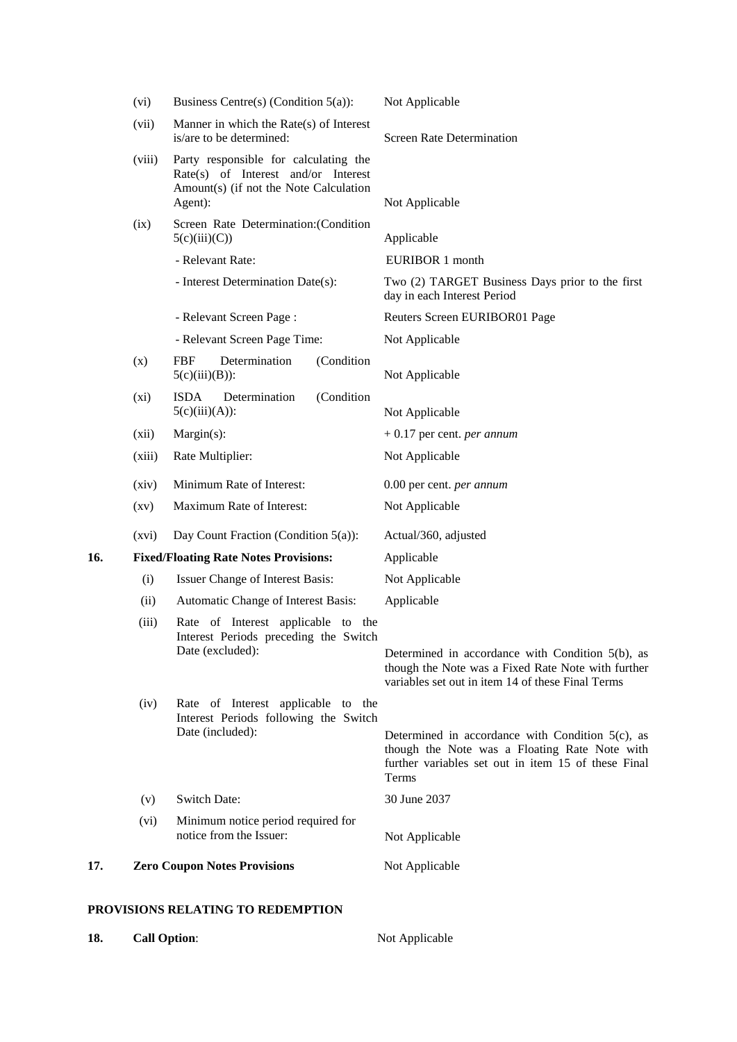|     | (vi)               | Business Centre(s) (Condition $5(a)$ ):                                                                                           | Not Applicable                                                                                                                                                              |  |
|-----|--------------------|-----------------------------------------------------------------------------------------------------------------------------------|-----------------------------------------------------------------------------------------------------------------------------------------------------------------------------|--|
|     | (vii)              | Manner in which the $Rate(s)$ of Interest<br>is/are to be determined:                                                             | <b>Screen Rate Determination</b>                                                                                                                                            |  |
|     | (viii)             | Party responsible for calculating the<br>Rate(s) of Interest and/or Interest<br>Amount(s) (if not the Note Calculation<br>Agent): | Not Applicable                                                                                                                                                              |  |
|     | (ix)               | Screen Rate Determination: (Condition<br>5(c)(iii)(C))                                                                            | Applicable                                                                                                                                                                  |  |
|     |                    | - Relevant Rate:                                                                                                                  | EURIBOR 1 month                                                                                                                                                             |  |
|     |                    | - Interest Determination Date(s):                                                                                                 | Two (2) TARGET Business Days prior to the first<br>day in each Interest Period                                                                                              |  |
|     |                    | - Relevant Screen Page:                                                                                                           | Reuters Screen EURIBOR01 Page                                                                                                                                               |  |
|     |                    | - Relevant Screen Page Time:                                                                                                      | Not Applicable                                                                                                                                                              |  |
|     | (x)                | <b>FBF</b><br>Determination<br>(Condition<br>$5(c)(iii)(B))$ :                                                                    | Not Applicable                                                                                                                                                              |  |
|     | (xi)               | <b>ISDA</b><br>Determination<br>(Condition<br>$5(c)(iii)(A))$ :                                                                   | Not Applicable                                                                                                                                                              |  |
|     | (xii)              | Margin(s):                                                                                                                        | $+0.17$ per cent. <i>per annum</i>                                                                                                                                          |  |
|     | (xiii)             | Rate Multiplier:                                                                                                                  | Not Applicable                                                                                                                                                              |  |
|     | (xiv)              | Minimum Rate of Interest:                                                                                                         | 0.00 per cent. per annum                                                                                                                                                    |  |
|     | $\left( xy\right)$ | Maximum Rate of Interest:                                                                                                         | Not Applicable                                                                                                                                                              |  |
|     | (xvi)              | Day Count Fraction (Condition $5(a)$ ):                                                                                           | Actual/360, adjusted                                                                                                                                                        |  |
| 16. |                    | <b>Fixed/Floating Rate Notes Provisions:</b>                                                                                      | Applicable                                                                                                                                                                  |  |
|     | (i)                | Issuer Change of Interest Basis:                                                                                                  | Not Applicable                                                                                                                                                              |  |
|     | (ii)               | Automatic Change of Interest Basis:                                                                                               | Applicable                                                                                                                                                                  |  |
|     | (iii)              | Rate of Interest applicable to the<br>Interest Periods preceding the Switch<br>Date (excluded):                                   | Determined in accordance with Condition 5(b), as<br>though the Note was a Fixed Rate Note with further<br>variables set out in item 14 of these Final Terms                 |  |
|     | (iv)               | Rate of Interest applicable to the<br>Interest Periods following the Switch<br>Date (included):                                   | Determined in accordance with Condition $5(c)$ , as<br>though the Note was a Floating Rate Note with<br>further variables set out in item 15 of these Final<br><b>Terms</b> |  |
|     | (v)                | <b>Switch Date:</b>                                                                                                               | 30 June 2037                                                                                                                                                                |  |
|     | (vi)               | Minimum notice period required for<br>notice from the Issuer:                                                                     | Not Applicable                                                                                                                                                              |  |
| 17. |                    | <b>Zero Coupon Notes Provisions</b>                                                                                               | Not Applicable                                                                                                                                                              |  |
|     |                    | PROVISIONS RELATING TO REDEMPTION                                                                                                 |                                                                                                                                                                             |  |

18. **Call Option:** Not Applicable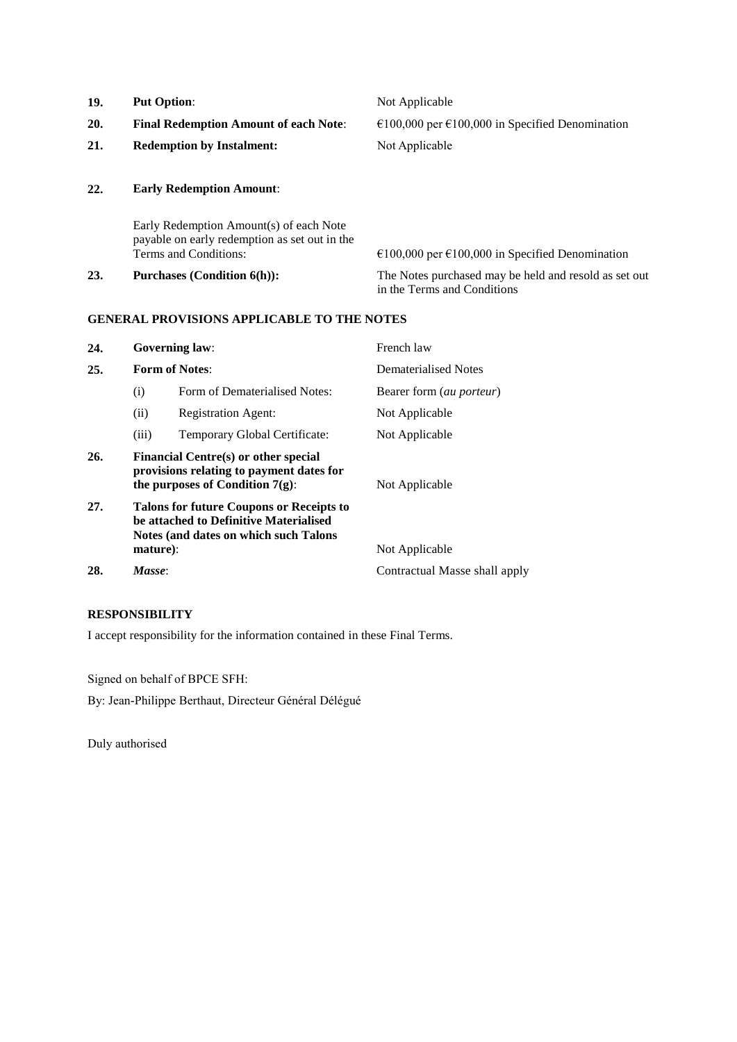| 19. | <b>Put Option:</b>                                                                                                | Not Applicable                                                                       |
|-----|-------------------------------------------------------------------------------------------------------------------|--------------------------------------------------------------------------------------|
| 20. | <b>Final Redemption Amount of each Note:</b>                                                                      | €100,000 per €100,000 in Specified Denomination                                      |
| 21. | <b>Redemption by Instalment:</b>                                                                                  | Not Applicable                                                                       |
| 22. | <b>Early Redemption Amount:</b>                                                                                   |                                                                                      |
|     | Early Redemption Amount(s) of each Note<br>payable on early redemption as set out in the<br>Terms and Conditions: | $\epsilon$ 100,000 per $\epsilon$ 100,000 in Specified Denomination                  |
| 23. | <b>Purchases (Condition 6(h)):</b>                                                                                | The Notes purchased may be held and resold as set out<br>in the Terms and Conditions |

## **GENERAL PROVISIONS APPLICABLE TO THE NOTES**

| 24. |                                                                                                                                                | <b>Governing law:</b>         | French law                      |
|-----|------------------------------------------------------------------------------------------------------------------------------------------------|-------------------------------|---------------------------------|
| 25. |                                                                                                                                                | <b>Form of Notes:</b>         | Dematerialised Notes            |
|     | (i)                                                                                                                                            | Form of Dematerialised Notes: | Bearer form <i>(au porteur)</i> |
|     | (ii)                                                                                                                                           | <b>Registration Agent:</b>    | Not Applicable                  |
|     | (iii)                                                                                                                                          | Temporary Global Certificate: | Not Applicable                  |
| 26. | Financial Centre(s) or other special<br>provisions relating to payment dates for<br>the purposes of Condition $7(g)$ :                         |                               | Not Applicable                  |
| 27. | <b>Talons for future Coupons or Receipts to</b><br>be attached to Definitive Materialised<br>Notes (and dates on which such Talons<br>mature): |                               | Not Applicable                  |
| 28. | Masse:                                                                                                                                         |                               | Contractual Masse shall apply   |

## **RESPONSIBILITY**

I accept responsibility for the information contained in these Final Terms.

Signed on behalf of BPCE SFH:

By: Jean-Philippe Berthaut, Directeur Général Délégué

Duly authorised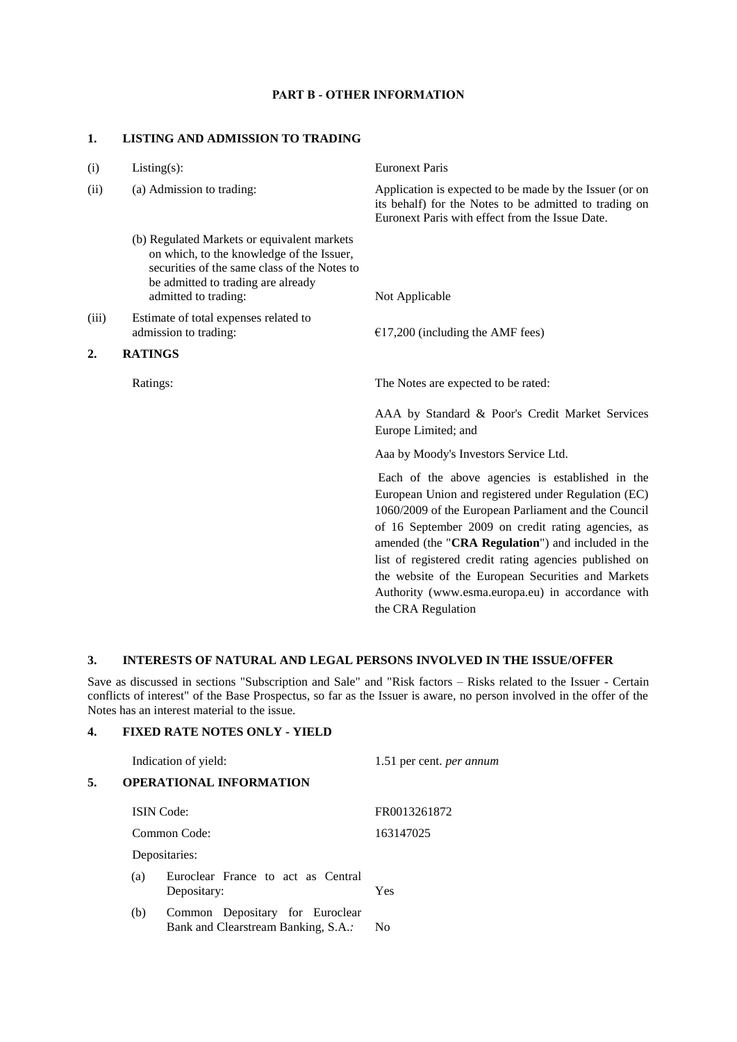#### **PART B - OTHER INFORMATION**

#### **1. LISTING AND ADMISSION TO TRADING**

| (i)   | $Listing(s)$ :                                                                                                                                                                                         | <b>Euronext Paris</b>                                                                                                                                                                                                                                                                                                                                                                                                                            |
|-------|--------------------------------------------------------------------------------------------------------------------------------------------------------------------------------------------------------|--------------------------------------------------------------------------------------------------------------------------------------------------------------------------------------------------------------------------------------------------------------------------------------------------------------------------------------------------------------------------------------------------------------------------------------------------|
| (ii)  | (a) Admission to trading:                                                                                                                                                                              | Application is expected to be made by the Issuer (or on<br>its behalf) for the Notes to be admitted to trading on<br>Euronext Paris with effect from the Issue Date.                                                                                                                                                                                                                                                                             |
|       | (b) Regulated Markets or equivalent markets<br>on which, to the knowledge of the Issuer,<br>securities of the same class of the Notes to<br>be admitted to trading are already<br>admitted to trading: | Not Applicable                                                                                                                                                                                                                                                                                                                                                                                                                                   |
| (iii) | Estimate of total expenses related to<br>admission to trading:                                                                                                                                         | $£17,200$ (including the AMF fees)                                                                                                                                                                                                                                                                                                                                                                                                               |
| 2.    | <b>RATINGS</b>                                                                                                                                                                                         |                                                                                                                                                                                                                                                                                                                                                                                                                                                  |
|       | Ratings:                                                                                                                                                                                               | The Notes are expected to be rated:                                                                                                                                                                                                                                                                                                                                                                                                              |
|       |                                                                                                                                                                                                        | AAA by Standard & Poor's Credit Market Services<br>Europe Limited; and                                                                                                                                                                                                                                                                                                                                                                           |
|       |                                                                                                                                                                                                        | Aaa by Moody's Investors Service Ltd.                                                                                                                                                                                                                                                                                                                                                                                                            |
|       |                                                                                                                                                                                                        | Each of the above agencies is established in the<br>European Union and registered under Regulation (EC)<br>1060/2009 of the European Parliament and the Council<br>of 16 September 2009 on credit rating agencies, as<br>amended (the "CRA Regulation") and included in the<br>list of registered credit rating agencies published on<br>the website of the European Securities and Markets<br>Authority (www.esma.europa.eu) in accordance with |

## **3. INTERESTS OF NATURAL AND LEGAL PERSONS INVOLVED IN THE ISSUE/OFFER**

Save as discussed in sections "Subscription and Sale" and "Risk factors – Risks related to the Issuer - Certain conflicts of interest" of the Base Prospectus, so far as the Issuer is aware, no person involved in the offer of the Notes has an interest material to the issue.

the CRA Regulation

## **4. FIXED RATE NOTES ONLY - YIELD**

| Indication of yield: |                                |                                                                        | 1.51 per cent. per annum |  |
|----------------------|--------------------------------|------------------------------------------------------------------------|--------------------------|--|
| 5.                   | <b>OPERATIONAL INFORMATION</b> |                                                                        |                          |  |
|                      |                                | <b>ISIN</b> Code:                                                      | FR0013261872             |  |
|                      |                                | Common Code:                                                           | 163147025                |  |
|                      |                                | Depositaries:                                                          |                          |  |
|                      | (a)                            | Euroclear France to act as Central<br>Depositary:                      | Yes                      |  |
|                      | (b)                            | Common Depositary for Euroclear<br>Bank and Clearstream Banking, S.A.: | N <sub>0</sub>           |  |